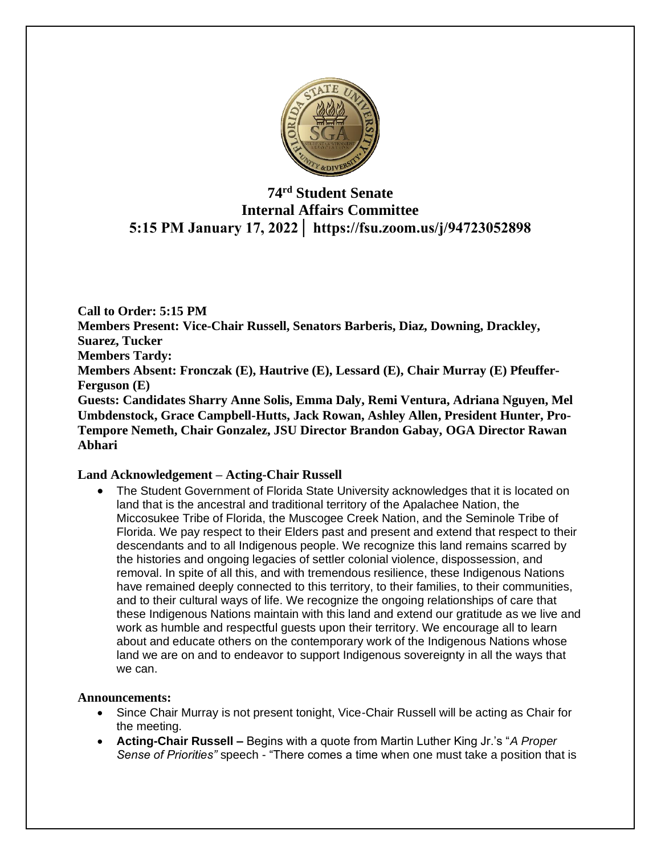

# **74 rd Student Senate Internal Affairs Committee 5:15 PM January 17, 2022│ https://fsu.zoom.us/j/94723052898**

**Call to Order: 5:15 PM Members Present: Vice-Chair Russell, Senators Barberis, Diaz, Downing, Drackley, Suarez, Tucker Members Tardy: Members Absent: Fronczak (E), Hautrive (E), Lessard (E), Chair Murray (E) Pfeuffer-Ferguson (E) Guests: Candidates Sharry Anne Solis, Emma Daly, Remi Ventura, Adriana Nguyen, Mel Umbdenstock, Grace Campbell-Hutts, Jack Rowan, Ashley Allen, President Hunter, Pro-Tempore Nemeth, Chair Gonzalez, JSU Director Brandon Gabay, OGA Director Rawan Abhari** 

### **Land Acknowledgement – Acting-Chair Russell**

• The Student Government of Florida State University acknowledges that it is located on land that is the ancestral and traditional territory of the Apalachee Nation, the Miccosukee Tribe of Florida, the Muscogee Creek Nation, and the Seminole Tribe of Florida. We pay respect to their Elders past and present and extend that respect to their descendants and to all Indigenous people. We recognize this land remains scarred by the histories and ongoing legacies of settler colonial violence, dispossession, and removal. In spite of all this, and with tremendous resilience, these Indigenous Nations have remained deeply connected to this territory, to their families, to their communities, and to their cultural ways of life. We recognize the ongoing relationships of care that these Indigenous Nations maintain with this land and extend our gratitude as we live and work as humble and respectful guests upon their territory. We encourage all to learn about and educate others on the contemporary work of the Indigenous Nations whose land we are on and to endeavor to support Indigenous sovereignty in all the ways that we can.

### **Announcements:**

- Since Chair Murray is not present tonight, Vice-Chair Russell will be acting as Chair for the meeting.
- **Acting-Chair Russell –** Begins with a quote from Martin Luther King Jr.'s "*A Proper Sense of Priorities"* speech - "There comes a time when one must take a position that is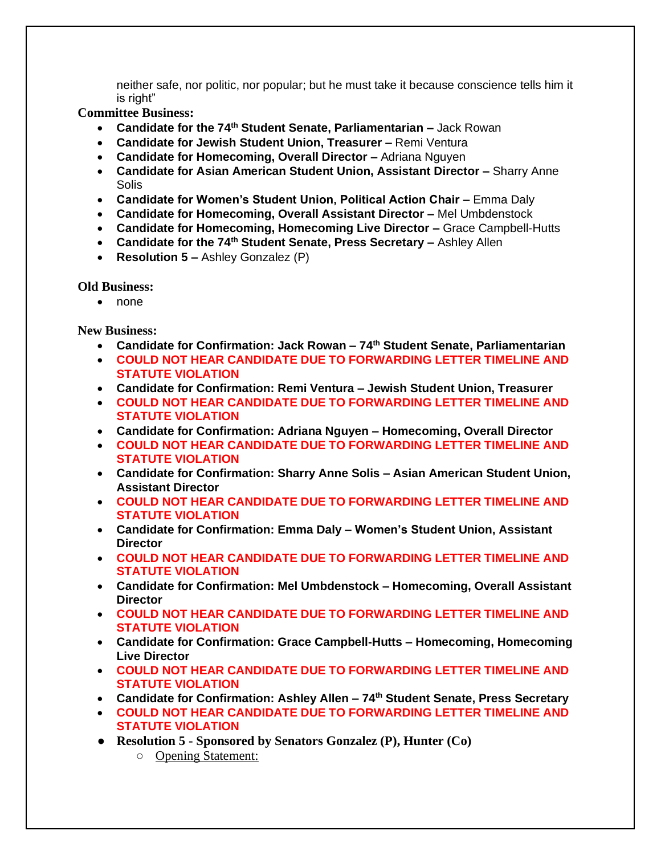neither safe, nor politic, nor popular; but he must take it because conscience tells him it is right"

**Committee Business:** 

- **Candidate for the 74th Student Senate, Parliamentarian –** Jack Rowan
- **Candidate for Jewish Student Union, Treasurer –** Remi Ventura
- **Candidate for Homecoming, Overall Director –** Adriana Nguyen
- **Candidate for Asian American Student Union, Assistant Director –** Sharry Anne **Solis**
- **Candidate for Women's Student Union, Political Action Chair –** Emma Daly
- **Candidate for Homecoming, Overall Assistant Director –** Mel Umbdenstock
- **Candidate for Homecoming, Homecoming Live Director –** Grace Campbell-Hutts
- **Candidate for the 74th Student Senate, Press Secretary –** Ashley Allen
- **Resolution 5 –** Ashley Gonzalez (P)

**Old Business:** 

• none

**New Business:**

- **Candidate for Confirmation: Jack Rowan – 74th Student Senate, Parliamentarian**
- **COULD NOT HEAR CANDIDATE DUE TO FORWARDING LETTER TIMELINE AND STATUTE VIOLATION**
- **Candidate for Confirmation: Remi Ventura – Jewish Student Union, Treasurer**
- **COULD NOT HEAR CANDIDATE DUE TO FORWARDING LETTER TIMELINE AND STATUTE VIOLATION**
- **Candidate for Confirmation: Adriana Nguyen – Homecoming, Overall Director**
- **COULD NOT HEAR CANDIDATE DUE TO FORWARDING LETTER TIMELINE AND STATUTE VIOLATION**
- **Candidate for Confirmation: Sharry Anne Solis – Asian American Student Union, Assistant Director**
- **COULD NOT HEAR CANDIDATE DUE TO FORWARDING LETTER TIMELINE AND STATUTE VIOLATION**
- **Candidate for Confirmation: Emma Daly – Women's Student Union, Assistant Director**
- **COULD NOT HEAR CANDIDATE DUE TO FORWARDING LETTER TIMELINE AND STATUTE VIOLATION**
- **Candidate for Confirmation: Mel Umbdenstock – Homecoming, Overall Assistant Director**
- **COULD NOT HEAR CANDIDATE DUE TO FORWARDING LETTER TIMELINE AND STATUTE VIOLATION**
- **Candidate for Confirmation: Grace Campbell-Hutts – Homecoming, Homecoming Live Director**
- **COULD NOT HEAR CANDIDATE DUE TO FORWARDING LETTER TIMELINE AND STATUTE VIOLATION**
- **Candidate for Confirmation: Ashley Allen – 74th Student Senate, Press Secretary**
- **COULD NOT HEAR CANDIDATE DUE TO FORWARDING LETTER TIMELINE AND STATUTE VIOLATION**
- **Resolution 5 - Sponsored by Senators Gonzalez (P), Hunter (Co)**
	- Opening Statement: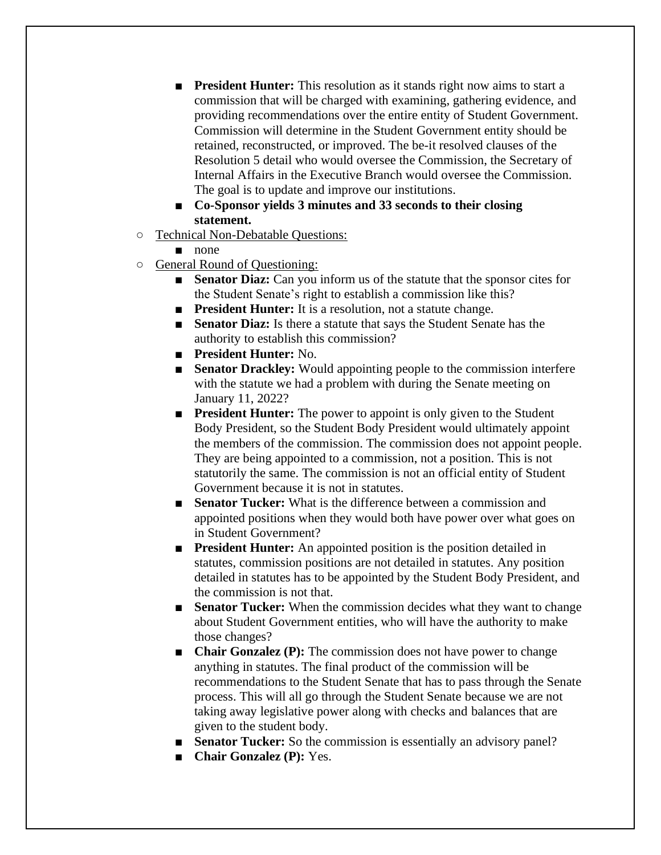- **President Hunter:** This resolution as it stands right now aims to start a commission that will be charged with examining, gathering evidence, and providing recommendations over the entire entity of Student Government. Commission will determine in the Student Government entity should be retained, reconstructed, or improved. The be-it resolved clauses of the Resolution 5 detail who would oversee the Commission, the Secretary of Internal Affairs in the Executive Branch would oversee the Commission. The goal is to update and improve our institutions.
- **Co-Sponsor yields 3 minutes and 33 seconds to their closing statement.**
- Technical Non-Debatable Questions:
	- none
- General Round of Questioning:
	- **Senator Diaz:** Can you inform us of the statute that the sponsor cites for the Student Senate's right to establish a commission like this?
	- **President Hunter:** It is a resolution, not a statute change.
	- **Senator Diaz:** Is there a statute that says the Student Senate has the authority to establish this commission?
	- **President Hunter:** No.
	- **Senator Drackley:** Would appointing people to the commission interfere with the statute we had a problem with during the Senate meeting on January 11, 2022?
	- **President Hunter:** The power to appoint is only given to the Student Body President, so the Student Body President would ultimately appoint the members of the commission. The commission does not appoint people. They are being appointed to a commission, not a position. This is not statutorily the same. The commission is not an official entity of Student Government because it is not in statutes.
	- **Senator Tucker:** What is the difference between a commission and appointed positions when they would both have power over what goes on in Student Government?
	- **President Hunter:** An appointed position is the position detailed in statutes, commission positions are not detailed in statutes. Any position detailed in statutes has to be appointed by the Student Body President, and the commission is not that.
	- **Senator Tucker:** When the commission decides what they want to change about Student Government entities, who will have the authority to make those changes?
	- **Chair Gonzalez (P):** The commission does not have power to change anything in statutes. The final product of the commission will be recommendations to the Student Senate that has to pass through the Senate process. This will all go through the Student Senate because we are not taking away legislative power along with checks and balances that are given to the student body.
	- **Senator Tucker:** So the commission is essentially an advisory panel?
	- **Chair Gonzalez (P):** Yes.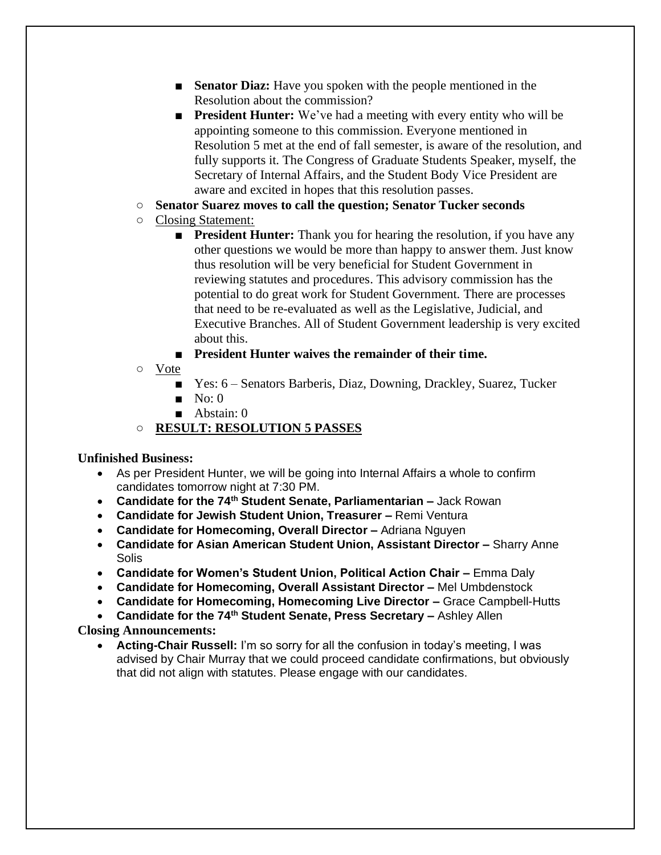- **Senator Diaz:** Have you spoken with the people mentioned in the Resolution about the commission?
- **President Hunter:** We've had a meeting with every entity who will be appointing someone to this commission. Everyone mentioned in Resolution 5 met at the end of fall semester, is aware of the resolution, and fully supports it. The Congress of Graduate Students Speaker, myself, the Secretary of Internal Affairs, and the Student Body Vice President are aware and excited in hopes that this resolution passes.
- **Senator Suarez moves to call the question; Senator Tucker seconds**
- Closing Statement:
	- **President Hunter:** Thank you for hearing the resolution, if you have any other questions we would be more than happy to answer them. Just know thus resolution will be very beneficial for Student Government in reviewing statutes and procedures. This advisory commission has the potential to do great work for Student Government. There are processes that need to be re-evaluated as well as the Legislative, Judicial, and Executive Branches. All of Student Government leadership is very excited about this.
	- **President Hunter waives the remainder of their time.**
- Vote
	- Yes: 6 Senators Barberis, Diaz, Downing, Drackley, Suarez, Tucker
	- $\blacksquare$  No: 0
	- Abstain: 0
- **RESULT: RESOLUTION 5 PASSES**

# **Unfinished Business:**

- As per President Hunter, we will be going into Internal Affairs a whole to confirm candidates tomorrow night at 7:30 PM.
- **Candidate for the 74th Student Senate, Parliamentarian –** Jack Rowan
- **Candidate for Jewish Student Union, Treasurer –** Remi Ventura
- **Candidate for Homecoming, Overall Director –** Adriana Nguyen
- **Candidate for Asian American Student Union, Assistant Director –** Sharry Anne Solis
- **Candidate for Women's Student Union, Political Action Chair –** Emma Daly
- **Candidate for Homecoming, Overall Assistant Director –** Mel Umbdenstock
- **Candidate for Homecoming, Homecoming Live Director –** Grace Campbell-Hutts
- **Candidate for the 74th Student Senate, Press Secretary –** Ashley Allen

# **Closing Announcements:**

• **Acting-Chair Russell:** I'm so sorry for all the confusion in today's meeting, I was advised by Chair Murray that we could proceed candidate confirmations, but obviously that did not align with statutes. Please engage with our candidates.